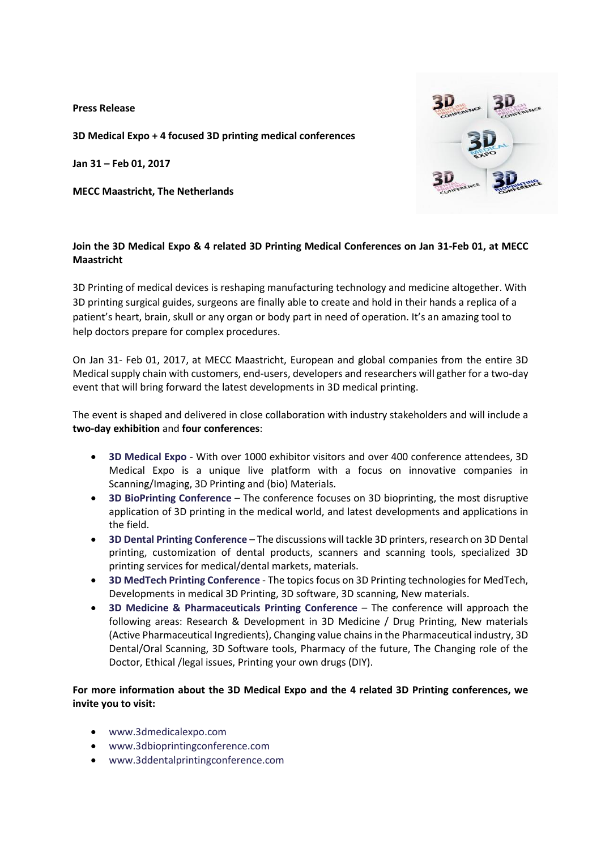**Press Release**

**3D Medical Expo + 4 focused 3D printing medical conferences**

**Jan 31 – Feb 01, 2017**

**MECC Maastricht, The Netherlands**



# **Join the 3D Medical Expo & 4 related 3D Printing Medical Conferences on Jan 31-Feb 01, at MECC Maastricht**

3D Printing of medical devices is reshaping manufacturing technology and medicine altogether. With 3D printing surgical guides, surgeons are finally able to create and hold in their hands a replica of a patient's heart, brain, skull or any organ or body part in need of operation. It's an amazing tool to help doctors prepare for complex procedures.

On Jan 31- Feb 01, 2017, at MECC Maastricht, European and global companies from the entire 3D Medical supply chain with customers, end-users, developers and researchers will gather for a two-day event that will bring forward the latest developments in 3D medical printing.

The event is shaped and delivered in close collaboration with industry stakeholders and will include a **two-day exhibition** and **four conferences**:

- **[3D Medical Expo](http://3dmedicalexpo.com/)** With over 1000 exhibitor visitors and over 400 conference attendees, 3D Medical Expo is a unique live platform with a focus on innovative companies in Scanning/Imaging, 3D Printing and (bio) Materials.
- **[3D BioPrinting Conference](http://www.3dbioprintingconference.com/)** The conference focuses on 3D bioprinting, the most disruptive application of 3D printing in the medical world, and latest developments and applications in the field.
- **[3D Dental Printing Conference](http://3ddentalprintingconference.com/)** The discussions will tackle 3D printers, research on 3D Dental printing, customization of dental products, scanners and scanning tools, specialized 3D printing services for medical/dental markets, materials.
- **[3D MedTech Printing Conference](http://3dmedtechprintingconference.com/)** The topics focus on 3D Printing technologies for MedTech, Developments in medical 3D Printing, 3D software, 3D scanning, New materials.
- **[3D Medicine & Pharmaceuticals Printing Conference](http://www.3dmpconference.com/)** The conference will approach the following areas: Research & Development in 3D Medicine / Drug Printing, New materials (Active Pharmaceutical Ingredients), Changing value chains in the Pharmaceutical industry, 3D Dental/Oral Scanning, 3D Software tools, Pharmacy of the future, The Changing role of the Doctor, Ethical /legal issues, Printing your own drugs (DIY).

# **For more information about the 3D Medical Expo and the 4 related 3D Printing conferences, we invite you to visit:**

- [www.3dmedicalexpo.com](http://www.3dmedicalexpo.com/)
- [www.3dbioprintingconference.com](http://www.3dbioprintingconference.com/)
- [www.3ddentalprintingconference.com](http://www.3ddentalprintingconference.com/)